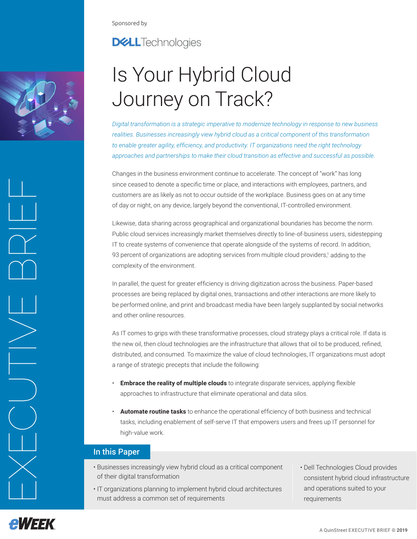<span id="page-0-0"></span>Sponsored by

# **DELL**Technologies

# Is Your Hybrid Cloud Journey on Track?

*Digital transformation is a strategic imperative to modernize technology in response to new business realities. Businesses increasingly view hybrid cloud as a critical component of this transformation to enable greater agility, efficiency, and productivity. IT organizations need the right technology approaches and partnerships to make their cloud transition as effective and successful as possible.*

Changes in the business environment continue to accelerate. The concept of "work" has long since ceased to denote a specific time or place, and interactions with employees, partners, and customers are as likely as not to occur outside of the workplace. Business goes on at any time of day or night, on any device, largely beyond the conventional, IT-controlled environment.

Likewise, data sharing across geographical and organizational boundaries has become the norm. Public cloud services increasingly market themselves directly to line-of-business users, sidestepping IT to create systems of convenience that operate alongside of the systems of record. In addition, 93 percent of organizations are adopting services from multiple cloud providers,[1](#page-4-0) adding to the complexity of the environment.

In parallel, the quest for greater efficiency is driving digitization across the business. Paper-based processes are being replaced by digital ones, transactions and other interactions are more likely to be performed online, and print and broadcast media have been largely supplanted by social networks and other online resources.

As IT comes to grips with these transformative processes, cloud strategy plays a critical role. If data is the new oil, then cloud technologies are the infrastructure that allows that oil to be produced, refined, distributed, and consumed. To maximize the value of cloud technologies, IT organizations must adopt a range of strategic precepts that include the following:

- **Embrace the reality of multiple clouds** to integrate disparate services, applying flexible approaches to infrastructure that eliminate operational and data silos.
- **Automate routine tasks** to enhance the operational efficiency of both business and technical tasks, including enablement of self-serve IT that empowers users and frees up IT personnel for high-value work.

# In this Paper

- Businesses increasingly view hybrid cloud as a critical component of their digital transformation
- IT organizations planning to implement hybrid cloud architectures must address a common set of requirements
- Dell Technologies Cloud provides consistent hybrid cloud infrastructure and operations suited to your requirements



EXECUTIVE BRIEF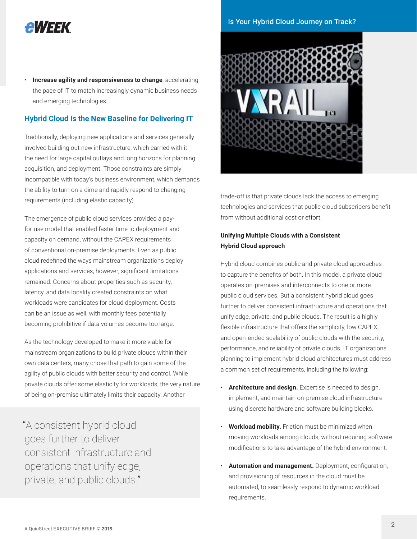# AWSSK

• **Increase agility and responsiveness to change**, accelerating the pace of IT to match increasingly dynamic business needs and emerging technologies.

### **Hybrid Cloud Is the New Baseline for Delivering IT**

Traditionally, deploying new applications and services generally involved building out new infrastructure, which carried with it the need for large capital outlays and long horizons for planning, acquisition, and deployment. Those constraints are simply incompatible with today's business environment, which demands the ability to turn on a dime and rapidly respond to changing requirements (including elastic capacity).

The emergence of public cloud services provided a payfor-use model that enabled faster time to deployment and capacity on demand, without the CAPEX requirements of conventional on-premise deployments. Even as public cloud redefined the ways mainstream organizations deploy applications and services, however, significant limitations remained. Concerns about properties such as security, latency, and data locality created constraints on what workloads were candidates for cloud deployment. Costs can be an issue as well, with monthly fees potentially becoming prohibitive if data volumes become too large.

As the technology developed to make it more viable for mainstream organizations to build private clouds within their own data centers, many chose that path to gain some of the agility of public clouds with better security and control. While private clouds offer some elasticity for workloads, the very nature of being on-premise ultimately limits their capacity. Another

"A consistent hybrid cloud goes further to deliver consistent infrastructure and operations that unify edge, private, and public clouds."





trade-off is that private clouds lack the access to emerging technologies and services that public cloud subscribers benefit from without additional cost or effort.

### **Unifying Multiple Clouds with a Consistent Hybrid Cloud approach**

Hybrid cloud combines public and private cloud approaches to capture the benefits of both. In this model, a private cloud operates on-premises and interconnects to one or more public cloud services. But a consistent hybrid cloud goes further to deliver consistent infrastructure and operations that unify edge, private, and public clouds. The result is a highly flexible infrastructure that offers the simplicity, low CAPEX, and open-ended scalability of public clouds with the security, performance, and reliability of private clouds. IT organizations planning to implement hybrid cloud architectures must address a common set of requirements, including the following:

- **Architecture and design.** Expertise is needed to design, implement, and maintain on-premise cloud infrastructure using discrete hardware and software building blocks.
- **Workload mobility.** Friction must be minimized when moving workloads among clouds, without requiring software modifications to take advantage of the hybrid environment.
- **Automation and management.** Deployment, configuration, and provisioning of resources in the cloud must be automated, to seamlessly respond to dynamic workload requirements.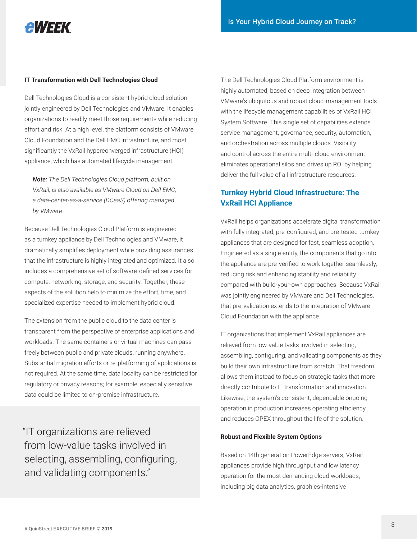

### **IT Transformation with Dell Technologies Cloud**

Dell Technologies Cloud is a consistent hybrid cloud solution jointly engineered by Dell Technologies and VMware. It enables organizations to readily meet those requirements while reducing effort and risk. At a high level, the platform consists of VMware Cloud Foundation and the Dell EMC infrastructure, and most significantly the VxRail hyperconverged infrastructure (HCI) appliance, which has automated lifecycle management.

*Note: The Dell Technologies Cloud platform, built on VxRail, is also available as VMware Cloud on Dell EMC, a data-center-as-a-service (DCaaS) offering managed by VMware.*

Because Dell Technologies Cloud Platform is engineered as a turnkey appliance by Dell Technologies and VMware, it dramatically simplifies deployment while providing assurances that the infrastructure is highly integrated and optimized. It also includes a comprehensive set of software-defined services for compute, networking, storage, and security. Together, these aspects of the solution help to minimize the effort, time, and specialized expertise needed to implement hybrid cloud.

The extension from the public cloud to the data center is transparent from the perspective of enterprise applications and workloads. The same containers or virtual machines can pass freely between public and private clouds, running anywhere. Substantial migration efforts or re-platforming of applications is not required. At the same time, data locality can be restricted for regulatory or privacy reasons; for example, especially sensitive data could be limited to on-premise infrastructure.

"IT organizations are relieved from low-value tasks involved in selecting, assembling, configuring, and validating components."

The Dell Technologies Cloud Platform environment is highly automated, based on deep integration between VMware's ubiquitous and robust cloud-management tools with the lifecycle management capabilities of VxRail HCI System Software. This single set of capabilities extends service management, governance, security, automation, and orchestration across multiple clouds. Visibility and control across the entire multi-cloud environment eliminates operational silos and drives up ROI by helping deliver the full value of all infrastructure resources.

# **Turnkey Hybrid Cloud Infrastructure: The VxRail HCI Appliance**

VxRail helps organizations accelerate digital transformation with fully integrated, pre-configured, and pre-tested turnkey appliances that are designed for fast, seamless adoption. Engineered as a single entity, the components that go into the appliance are pre-verified to work together seamlessly, reducing risk and enhancing stability and reliability compared with build-your-own approaches. Because VxRail was jointly engineered by VMware and Dell Technologies, that pre-validation extends to the integration of VMware Cloud Foundation with the appliance.

IT organizations that implement VxRail appliances are relieved from low-value tasks involved in selecting, assembling, configuring, and validating components as they build their own infrastructure from scratch. That freedom allows them instead to focus on strategic tasks that more directly contribute to IT transformation and innovation. Likewise, the system's consistent, dependable ongoing operation in production increases operating efficiency and reduces OPEX throughout the life of the solution.

### **Robust and Flexible System Options**

Based on 14th generation PowerEdge servers, VxRail appliances provide high throughput and low latency operation for the most demanding cloud workloads, including big data analytics, graphics-intensive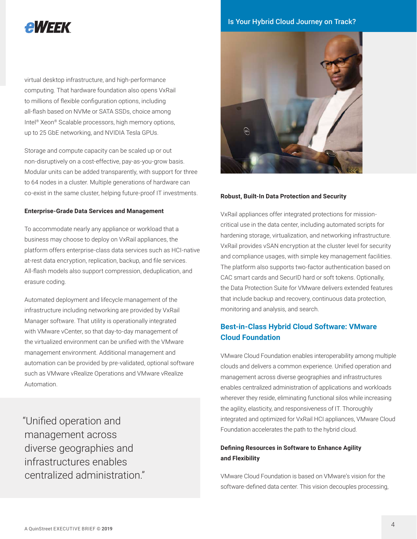# **AWEEK**

virtual desktop infrastructure, and high-performance computing. That hardware foundation also opens VxRail to millions of flexible configuration options, including all-flash based on NVMe or SATA SSDs, choice among Intel® Xeon® Scalable processors, high memory options, up to 25 GbE networking, and NVIDIA Tesla GPUs.

Storage and compute capacity can be scaled up or out non-disruptively on a cost-effective, pay-as-you-grow basis. Modular units can be added transparently, with support for three to 64 nodes in a cluster. Multiple generations of hardware can co-exist in the same cluster, helping future-proof IT investments.

#### **Enterprise-Grade Data Services and Management**

To accommodate nearly any appliance or workload that a business may choose to deploy on VxRail appliances, the platform offers enterprise-class data services such as HCI-native at-rest data encryption, replication, backup, and file services. All-flash models also support compression, deduplication, and erasure coding.

Automated deployment and lifecycle management of the infrastructure including networking are provided by VxRail Manager software. That utility is operationally integrated with VMware vCenter, so that day-to-day management of the virtualized environment can be unified with the VMware management environment. Additional management and automation can be provided by pre-validated, optional software such as VMware vRealize Operations and VMware vRealize Automation.

"Unified operation and management across diverse geographies and infrastructures enables centralized administration."

Is Your Hybrid Cloud Journey on Track?



### **Robust, Built-In Data Protection and Security**

VxRail appliances offer integrated protections for missioncritical use in the data center, including automated scripts for hardening storage, virtualization, and networking infrastructure. VxRail provides vSAN encryption at the cluster level for security and compliance usages, with simple key management facilities. The platform also supports two-factor authentication based on CAC smart cards and SecurID hard or soft tokens. Optionally, the Data Protection Suite for VMware delivers extended features that include backup and recovery, continuous data protection, monitoring and analysis, and search.

## **Best-in-Class Hybrid Cloud Software: VMware Cloud Foundation**

VMware Cloud Foundation enables interoperability among multiple clouds and delivers a common experience. Unified operation and management across diverse geographies and infrastructures enables centralized administration of applications and workloads wherever they reside, eliminating functional silos while increasing the agility, elasticity, and responsiveness of IT. Thoroughly integrated and optimized for VxRail HCI appliances, VMware Cloud Foundation accelerates the path to the hybrid cloud.

### **Defining Resources in Software to Enhance Agility and Flexibility**

VMware Cloud Foundation is based on VMware's vision for the software-defined data center. This vision decouples processing,